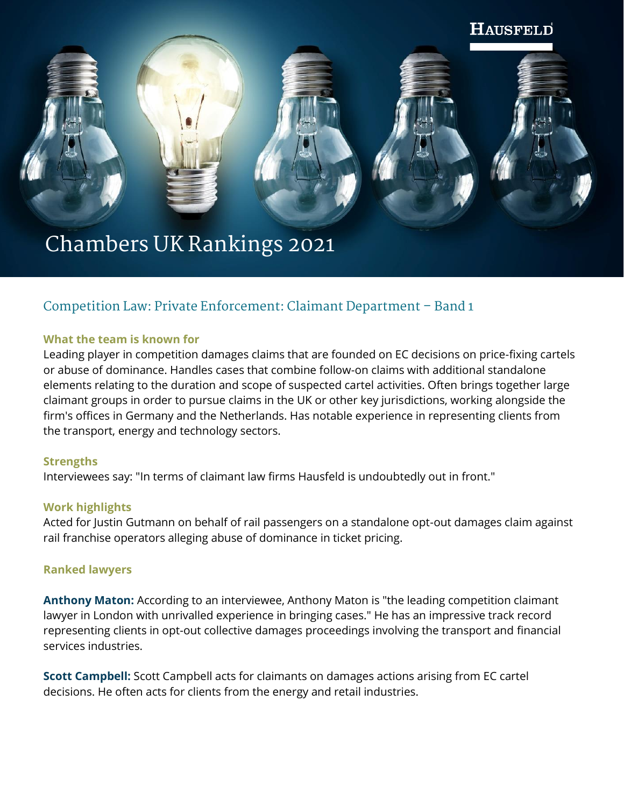

# **Competition Law: Private Enforcement: Claimant Department – Band 1**

#### **What the team is known for**

Leading player in competition damages claims that are founded on EC decisions on price-fixing cartels or abuse of dominance. Handles cases that combine follow-on claims with additional standalone elements relating to the duration and scope of suspected cartel activities. Often brings together large claimant groups in order to pursue claims in the UK or other key jurisdictions, working alongside the firm's offices in Germany and the Netherlands. Has notable experience in representing clients from the transport, energy and technology sectors.

#### **Strengths**

Interviewees say: "In terms of claimant law firms Hausfeld is undoubtedly out in front."

#### **Work highlights**

Acted for Justin Gutmann on behalf of rail passengers on a standalone opt-out damages claim against rail franchise operators alleging abuse of dominance in ticket pricing.

#### **Ranked lawyers**

**Anthony Maton:** According to an interviewee, Anthony Maton is "the leading competition claimant lawyer in London with unrivalled experience in bringing cases." He has an impressive track record representing clients in opt-out collective damages proceedings involving the transport and financial services industries.

**Scott Campbell:** Scott Campbell acts for claimants on damages actions arising from EC cartel decisions. He often acts for clients from the energy and retail industries.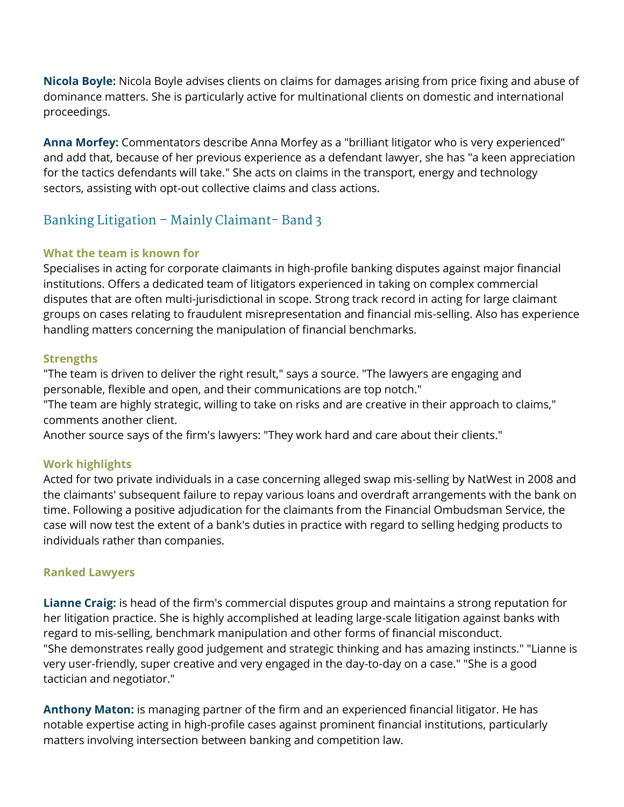**Nicola Boyle:** Nicola Boyle advises clients on claims for damages arising from price fixing and abuse of dominance matters. She is particularly active for multinational clients on domestic and international proceedings.

**Anna Morfey:** Commentators describe Anna Morfey as a "brilliant litigator who is very experienced" and add that, because of her previous experience as a defendant lawyer, she has "a keen appreciation for the tactics defendants will take." She acts on claims in the transport, energy and technology sectors, assisting with opt-out collective claims and class actions.

# **Banking Litigation – Mainly Claimant- Band 3**

## **What the team is known for**

Specialises in acting for corporate claimants in high-profile banking disputes against major financial institutions. Offers a dedicated team of litigators experienced in taking on complex commercial disputes that are often multi-jurisdictional in scope. Strong track record in acting for large claimant groups on cases relating to fraudulent misrepresentation and financial mis-selling. Also has experience handling matters concerning the manipulation of financial benchmarks.

## **Strengths**

"The team is driven to deliver the right result," says a source. "The lawyers are engaging and personable, flexible and open, and their communications are top notch."

"The team are highly strategic, willing to take on risks and are creative in their approach to claims," comments another client.

Another source says of the firm's lawyers: "They work hard and care about their clients."

## **Work highlights**

Acted for two private individuals in a case concerning alleged swap mis-selling by NatWest in 2008 and the claimants' subsequent failure to repay various loans and overdraft arrangements with the bank on time. Following a positive adjudication for the claimants from the Financial Ombudsman Service, the case will now test the extent of a bank's duties in practice with regard to selling hedging products to individuals rather than companies.

## **Ranked Lawyers**

**Lianne Craig:** is head of the firm's commercial disputes group and maintains a strong reputation for her litigation practice. She is highly accomplished at leading large-scale litigation against banks with regard to mis-selling, benchmark manipulation and other forms of financial misconduct. "She demonstrates really good judgement and strategic thinking and has amazing instincts." "Lianne is very user-friendly, super creative and very engaged in the day-to-day on a case." "She is a good tactician and negotiator."

**Anthony Maton:** is managing partner of the firm and an experienced financial litigator. He has notable expertise acting in high-profile cases against prominent financial institutions, particularly matters involving intersection between banking and competition law.